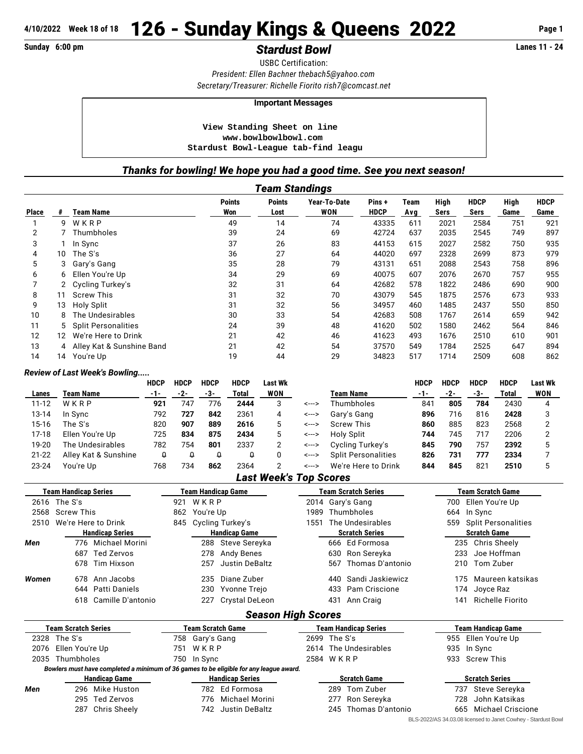## **Sunday 6:00 pm** *Stardust Bowl* **Lanes 11 - 24**

USBC Certification: *President: Ellen Bachner [thebach5@yahoo.com](mailto:thebach5@yahoo.com) Secretary/Treasurer: Richelle Fiorito [rish7@comcast.net](mailto:rish7@comcast.net)*

### **Important Messages**

 **View Standing Sheet on line <www.bowlbowlbowl.com> Stardust Bowl-League tab-find leagu**

### *Thanks for bowling! We hope you had a good time. See you next season!*

|              | <b>Team Standings</b> |                             |                      |                       |                     |                      |             |              |                     |              |                     |  |  |  |
|--------------|-----------------------|-----------------------------|----------------------|-----------------------|---------------------|----------------------|-------------|--------------|---------------------|--------------|---------------------|--|--|--|
| <b>Place</b> | #                     | <b>Team Name</b>            | <b>Points</b><br>Won | <b>Points</b><br>Lost | Year-To-Date<br>WON | Pins+<br><b>HDCP</b> | Team<br>Avg | High<br>Sers | <b>HDCP</b><br>Sers | High<br>Game | <b>HDCP</b><br>Game |  |  |  |
|              | 9                     | WKRP                        | 49                   | 14                    | 74                  | 43335                | 611         | 2021         | 2584                | 751          | 921                 |  |  |  |
| 2            |                       | Thumbholes                  | 39                   | 24                    | 69                  | 42724                | 637         | 2035         | 2545                | 749          | 897                 |  |  |  |
| 3            |                       | In Sync                     | 37                   | 26                    | 83                  | 44153                | 615         | 2027         | 2582                | 750          | 935                 |  |  |  |
| 4            | 10                    | The S's                     | 36                   | 27                    | 64                  | 44020                | 697         | 2328         | 2699                | 873          | 979                 |  |  |  |
| 5            |                       | Gary's Gang                 | 35                   | 28                    | 79                  | 43131                | 651         | 2088         | 2543                | 758          | 896                 |  |  |  |
| 6            | 6                     | Ellen You're Up             | 34                   | 29                    | 69                  | 40075                | 607         | 2076         | 2670                | 757          | 955                 |  |  |  |
|              |                       | Cycling Turkey's            | 32                   | 31                    | 64                  | 42682                | 578         | 1822         | 2486                | 690          | 900                 |  |  |  |
| 8            | 11                    | <b>Screw This</b>           | 31                   | 32                    | 70                  | 43079                | 545         | 1875         | 2576                | 673          | 933                 |  |  |  |
| 9            | 13                    | Holy Split                  | 31                   | 32                    | 56                  | 34957                | 460         | 1485         | 2437                | 550          | 850                 |  |  |  |
| 10           | 8                     | The Undesirables            | 30                   | 33                    | 54                  | 42683                | 508         | 1767         | 2614                | 659          | 942                 |  |  |  |
| 11           | 5.                    | <b>Split Personalities</b>  | 24                   | 39                    | 48                  | 41620                | 502         | 1580         | 2462                | 564          | 846                 |  |  |  |
| 12           | 12                    | We're Here to Drink         | 21                   | 42                    | 46                  | 41623                | 493         | 1676         | 2510                | 610          | 901                 |  |  |  |
| 13           |                       | 4 Alley Kat & Sunshine Band | 21                   | 42                    | 54                  | 37570                | 549         | 1784         | 2525                | 647          | 894                 |  |  |  |
| 14           | 14                    | You're Up                   | 19                   | 44                    | 29                  | 34823                | 517         | 1714         | 2509                | 608          | 862                 |  |  |  |

### *Review of Last Week's Bowling.....*

|           |                      | <b>HDCP</b> | <b>HDCP</b> | <b>HDCP</b> | <b>HDCP</b> | Last Wk |       |                            | HDCP | <b>HDCP</b> | <b>HDCP</b> | <b>HDCP</b> | Last Wk |
|-----------|----------------------|-------------|-------------|-------------|-------------|---------|-------|----------------------------|------|-------------|-------------|-------------|---------|
| Lanes     | Team Name            | -1-         | -2-         | -3-         | Total       | WON     |       | <b>Team Name</b>           | -1-  | -2-         | -3-         | Total       | WON     |
| $11 - 12$ | WKRP                 | 921         | 747         | 776         | 2444        | 3       | <---> | Thumbholes                 | 841  | 805         | 784         | 2430        | 4       |
| 13-14     | In Sync              | 792         | 727         | 842         | 2361        | 4       | <---> | Gary's Gang                | 896  | 716         | 816         | 2428        |         |
| 15-16     | The S's              | 820         | 907         | 889         | 2616        |         | <---> | <b>Screw This</b>          | 860  | 885         | 823         | 2568        |         |
| 17-18     | Ellen You're Up      | 725         | 834         | 875         | 2434        | 5       | <---> | Holy Split                 | 744  | 745         | 717         | 2206        |         |
| 19-20     | The Undesirables     | 782         | 754         | 801         | 2337        |         | <---> | Cycling Turkey's           | 845  | 790         | 757         | 2392        |         |
| $21 - 22$ | Alley Kat & Sunshine | û           |             |             | Q           |         | <---> | <b>Split Personalities</b> | 826  | 731         | 777         | 2334        |         |
| $23 - 24$ | You're Up            | 768         | 734         | 862         | 2364        |         | <---> | We're Here to Drink        | 844  | 845         | 821         | 2510        |         |

## *Last Week's Top Scores*

|       | <b>Team Handicap Series</b>                 |                 | <b>Team Handicap Game</b> |                       | <b>Team Scratch Series</b>  | <b>Team Scratch Game</b>  |                         |  |  |  |
|-------|---------------------------------------------|-----------------|---------------------------|-----------------------|-----------------------------|---------------------------|-------------------------|--|--|--|
|       | 2616 The S's                                | 921 WKRP        |                           |                       | 2014 Gary's Gang            | 700                       | Ellen You're Up         |  |  |  |
|       | 2568 Screw This                             | 862 You're Up   |                           | 1989                  | Thumbholes                  |                           | 664 In Sync             |  |  |  |
| 2510  | We're Here to Drink<br>845 Cycling Turkey's |                 |                           | 1551                  | The Undesirables            |                           | 559 Split Personalities |  |  |  |
|       | <b>Handicap Series</b>                      |                 | <b>Handicap Game</b>      | <b>Scratch Series</b> |                             | <b>Scratch Game</b>       |                         |  |  |  |
| Men   | 776 Michael Morini                          |                 | 288 Steve Sereyka         |                       | 666 Ed Formosa              |                           | 235 Chris Sheely        |  |  |  |
|       | 687 Ted Zervos                              | 278             | Andy Benes                |                       | 630 Ron Sereyka             | 233                       | Joe Hoffman             |  |  |  |
|       | 678 Tim Hixson                              | 257             | Justin DeBaltz            |                       | 567 Thomas D'antonio        |                           | 210 Tom Zuber           |  |  |  |
| Women | 678 Ann Jacobs                              | 235             | Diane Zuber               |                       | 440 Sandi Jaskiewicz        | 175                       | Maureen katsikas        |  |  |  |
|       | 644 Patti Daniels                           | 230             | Yvonne Trejo              |                       | 433 Pam Criscione           |                           | 174 Joyce Raz           |  |  |  |
|       | 618 Camille D'antonio                       |                 | 227 Crystal DeLeon        |                       | 431 Ann Craig               | 141                       | Richelle Fiorito        |  |  |  |
|       |                                             |                 | <b>Season High Scores</b> |                       |                             |                           |                         |  |  |  |
|       | <b>Team Scratch Series</b>                  |                 | Team Scratch Game         |                       | <b>Team Handicap Series</b> | <b>Team Handicap Game</b> |                         |  |  |  |
|       | 2328 The S's                                | 758 Gary's Gang |                           |                       | 2699 The S's                |                           | 955 Ellen You're Up     |  |  |  |

### 2035 Thumbholes 750 In Sync 2584 W K R P 933 Screw This *Bowlers must have completed a minimum of 36 games to be eligible for any league award.* **Handicap Game Handicap Series Scratch Game Scratch Series**

|  | 295 Ted Zervos  |
|--|-----------------|
|  | 207 Chris Chael |

*Men* 296 Mike Huston 782 Ed Formosa 289 Tom Zuber 737 Steve Sereyka 295 Ted Zervos 776 Michael Morini 277 Ron Sereyka 728 John Katsikas 287 Chris Sheely 742 Justin DeBaltz 245 Thomas D'antonio 665 Michael Criscione

2076 Ellen You're Up 751 W K R P 2614 The Undesirables 935 In Sync

- 
- 

BLS-2022/AS 34.03.08 licensed to Janet Cowhey - Stardust Bowl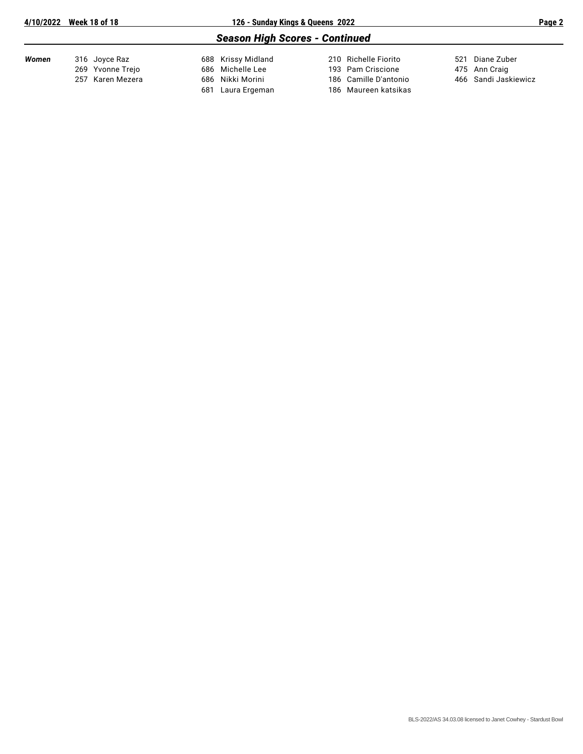# *Season High Scores - Continued*

| Women | 316 Joyce Raz    | 688 Krissy Midland | 210 Richelle Fiorito  | 521 Diane Zuber      |
|-------|------------------|--------------------|-----------------------|----------------------|
|       | 269 Yvonne Trejo | 686 Michelle Lee   | 193 Pam Criscione     | 475 Ann Craig        |
|       | 257 Karen Mezera | 686 Nikki Morini   | 186 Camille D'antonio | 466 Sandi Jaskiewicz |
|       |                  | 681 Laura Ergeman  | 186 Maureen katsikas  |                      |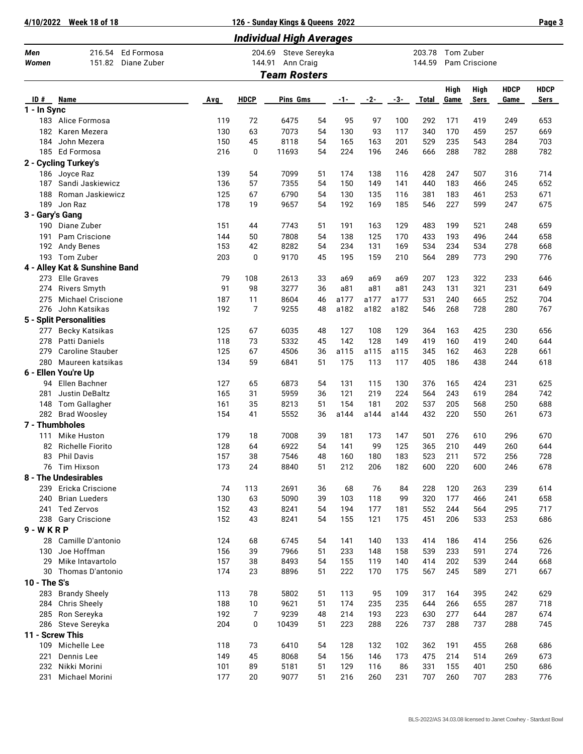**4/10/2022 Week 18 of 18 126 - Sunday Kings & Queens 2022 Page 3**

| <b>Individual High Averages</b> |                                               |     |                     |                            |    |       |       |      |                  |              |               |                     |                     |
|---------------------------------|-----------------------------------------------|-----|---------------------|----------------------------|----|-------|-------|------|------------------|--------------|---------------|---------------------|---------------------|
| Men<br>Women                    | 216.54<br>Ed Formosa<br>151.82<br>Diane Zuber |     | 204.69<br>144.91    | Steve Sereyka<br>Ann Craig |    |       |       |      | 203.78<br>144.59 | Tom Zuber    | Pam Criscione |                     |                     |
|                                 |                                               |     | <b>Team Rosters</b> |                            |    |       |       |      |                  |              |               |                     |                     |
| ID#                             | Name                                          | Avg | <b>HDCP</b>         | Pins Gms                   |    | $-1-$ | $-2-$ | -3-  | Total            | High<br>Game | High<br>Sers  | <b>HDCP</b><br>Game | <b>HDCP</b><br>Sers |
| 1 - In Sync                     |                                               |     |                     |                            |    |       |       |      |                  |              |               |                     |                     |
| 183                             | Alice Formosa                                 | 119 | 72                  | 6475                       | 54 | 95    | 97    | 100  | 292              | 171          | 419           | 249                 | 653                 |
| 182                             | Karen Mezera                                  | 130 | 63                  | 7073                       | 54 | 130   | 93    | 117  | 340              | 170          | 459           | 257                 | 669                 |
| 184                             | John Mezera                                   | 150 | 45                  | 8118                       | 54 | 165   | 163   | 201  | 529              | 235          | 543           | 284                 | 703                 |
|                                 | 185 Ed Formosa                                | 216 | 0                   | 11693                      | 54 | 224   | 196   | 246  | 666              | 288          | 782           | 288                 | 782                 |
|                                 | 2 - Cycling Turkey's                          |     |                     |                            |    |       |       |      |                  |              |               |                     |                     |
|                                 | 186 Joyce Raz                                 | 139 | 54                  | 7099                       | 51 | 174   | 138   | 116  | 428              | 247          | 507           | 316                 | 714                 |
| 187                             | Sandi Jaskiewicz                              | 136 | 57                  | 7355                       | 54 | 150   | 149   | 141  | 440              | 183          | 466           | 245                 | 652                 |
| 188                             | Roman Jaskiewicz                              | 125 | 67                  | 6790                       | 54 | 130   | 135   | 116  | 381              | 183          | 461           | 253                 | 671                 |
| 189                             | Jon Raz                                       | 178 | 19                  | 9657                       | 54 | 192   | 169   | 185  | 546              | 227          | 599           | 247                 | 675                 |
| 3 - Gary's Gang                 |                                               |     |                     |                            |    |       |       |      |                  |              |               |                     |                     |
| 190                             | Diane Zuber                                   | 151 | 44                  | 7743                       | 51 | 191   | 163   | 129  | 483              | 199          | 521           | 248                 | 659                 |
| 191                             | Pam Criscione                                 | 144 | 50                  | 7808                       | 54 | 138   | 125   | 170  | 433              | 193          | 496           | 244                 | 658                 |
| 192                             | Andy Benes                                    | 153 | 42                  | 8282                       | 54 | 234   | 131   | 169  | 534              | 234          | 534           | 278                 | 668                 |
| 193                             | Tom Zuber                                     | 203 | 0                   | 9170                       | 45 | 195   | 159   | 210  | 564              | 289          | 773           | 290                 | 776                 |
|                                 | 4 - Alley Kat & Sunshine Band                 |     |                     |                            |    |       |       |      |                  |              |               |                     |                     |
| 273                             | <b>Elle Graves</b>                            | 79  | 108                 | 2613                       | 33 | a69   | a69   | a69  | 207              | 123          | 322           | 233                 | 646                 |
| 274                             | <b>Rivers Smyth</b>                           | 91  | 98                  | 3277                       | 36 | a81   | a81   | a81  | 243              | 131          | 321           | 231                 | 649                 |
| 275                             | <b>Michael Criscione</b>                      | 187 | 11                  | 8604                       | 46 | a177  | a177  | a177 | 531              | 240          | 665           | 252                 | 704                 |
| 276                             | John Katsikas                                 | 192 | 7                   | 9255                       | 48 | a182  | a182  | a182 | 546              | 268          | 728           | 280                 | 767                 |
|                                 | 5 - Split Personalities                       |     |                     |                            |    |       |       |      |                  |              |               |                     |                     |
| 277                             | Becky Katsikas                                | 125 | 67                  | 6035                       | 48 | 127   | 108   | 129  | 364              | 163          | 425           | 230                 | 656                 |
| 278                             | <b>Patti Daniels</b>                          | 118 | 73                  | 5332                       | 45 | 142   | 128   | 149  | 419              | 160          | 419           | 240                 | 644                 |
| 279                             | <b>Caroline Stauber</b>                       | 125 | 67                  | 4506                       | 36 | a115  | a115  | a115 | 345              | 162          | 463           | 228                 | 661                 |
| 280                             | Maureen katsikas                              | 134 | 59                  | 6841                       | 51 | 175   | 113   | 117  | 405              | 186          | 438           | 244                 | 618                 |
|                                 | 6 - Ellen You're Up                           |     |                     |                            |    |       |       |      |                  |              |               |                     |                     |
| 94                              | Ellen Bachner                                 | 127 | 65                  | 6873                       | 54 | 131   | 115   | 130  | 376              | 165          | 424           | 231                 | 625                 |
| 281                             | Justin DeBaltz                                | 165 | 31                  | 5959                       | 36 | 121   | 219   | 224  | 564              | 243          | 619           | 284                 | 742                 |
| 148                             | <b>Tom Gallagher</b>                          | 161 | 35                  | 8213                       | 51 | 154   | 181   | 202  | 537              | 205          | 568           | 250                 | 688                 |
|                                 | 282 Brad Woosley                              | 154 | 41                  | 5552                       | 36 | a144  | a144  | a144 | 432              | 220          | 550           | 261                 | 673                 |
|                                 | 7 - Thumbholes                                |     |                     |                            |    |       |       |      |                  |              |               |                     |                     |
| 111                             | Mike Huston                                   | 179 | 18                  | 7008                       | 39 | 181   | 173   | 147  | 501              | 276          | 610           | 296                 | 670                 |
|                                 | 82 Richelle Fiorito                           | 128 | 64                  | 6922                       | 54 | 141   | 99    | 125  | 365              | 210          | 449           | 260                 | 644                 |
|                                 | 83 Phil Davis                                 | 157 | 38                  | 7546                       | 48 | 160   | 180   | 183  | 523              | 211          | 572           | 256                 | 728                 |
|                                 | 76 Tim Hixson                                 | 173 | 24                  | 8840                       | 51 | 212   | 206   | 182  | 600              | 220          | 600           | 246                 | 678                 |
|                                 | 8 - The Undesirables                          |     |                     |                            |    |       |       |      |                  |              |               |                     |                     |
| 239                             | Ericka Criscione                              | 74  | 113                 | 2691                       | 36 | 68    | 76    | 84   | 228              | 120          | 263           | 239                 | 614                 |
| 240                             | <b>Brian Lueders</b>                          | 130 | 63                  | 5090                       | 39 | 103   | 118   | 99   | 320              | 177          | 466           | 241                 | 658                 |
|                                 | 241 Ted Zervos                                | 152 | 43                  | 8241                       | 54 | 194   | 177   | 181  | 552              | 244          | 564           | 295                 | 717                 |
|                                 | 238 Gary Criscione                            | 152 | 43                  | 8241                       | 54 | 155   | 121   | 175  | 451              | 206          | 533           | 253                 | 686                 |
| 9 - W K R P                     |                                               |     |                     |                            |    |       |       |      |                  |              |               |                     |                     |
| 28                              | Camille D'antonio                             | 124 | 68                  | 6745                       | 54 | 141   | 140   | 133  | 414              | 186          | 414           | 256                 | 626                 |
| 130                             | Joe Hoffman                                   | 156 | 39                  | 7966                       | 51 | 233   | 148   | 158  | 539              | 233          | 591           | 274                 | 726                 |
| 29                              | Mike Intavartolo                              | 157 | 38                  | 8493                       | 54 | 155   | 119   | 140  | 414              | 202          | 539           | 244                 | 668                 |
| 30                              | Thomas D'antonio                              | 174 | 23                  | 8896                       | 51 | 222   | 170   | 175  | 567              | 245          | 589           | 271                 | 667                 |
| 10 - The S's                    |                                               |     |                     |                            |    |       |       |      |                  |              |               |                     |                     |
| 283                             | <b>Brandy Sheely</b>                          | 113 | 78                  | 5802                       | 51 | 113   | 95    | 109  | 317              | 164          | 395           | 242                 | 629                 |
| 284                             | <b>Chris Sheely</b>                           | 188 | 10                  | 9621                       | 51 | 174   | 235   | 235  | 644              | 266          | 655           | 287                 | 718                 |
| 285                             | Ron Sereyka                                   | 192 | 7                   | 9239                       | 48 | 214   | 193   | 223  | 630              | 277          | 644           | 287                 | 674                 |
|                                 | 286 Steve Sereyka                             | 204 | 0                   | 10439                      | 51 | 223   | 288   | 226  | 737              | 288          | 737           | 288                 | 745                 |
| 11 - Screw This                 |                                               |     |                     |                            |    |       |       |      |                  |              |               |                     |                     |
| 109                             | Michelle Lee                                  | 118 | 73                  | 6410                       | 54 | 128   | 132   | 102  | 362              | 191          | 455           | 268                 | 686                 |
| 221                             | Dennis Lee                                    | 149 | 45                  | 8068                       | 54 | 156   | 146   | 173  | 475              | 214          | 514           | 269                 | 673                 |
| 232                             | Nikki Morini                                  | 101 | 89                  | 5181                       | 51 | 129   | 116   | 86   | 331              | 155          | 401           | 250                 | 686                 |
| 231                             | Michael Morini                                | 177 | 20                  | 9077                       | 51 | 216   | 260   | 231  | 707              | 260          | 707           | 283                 | 776                 |